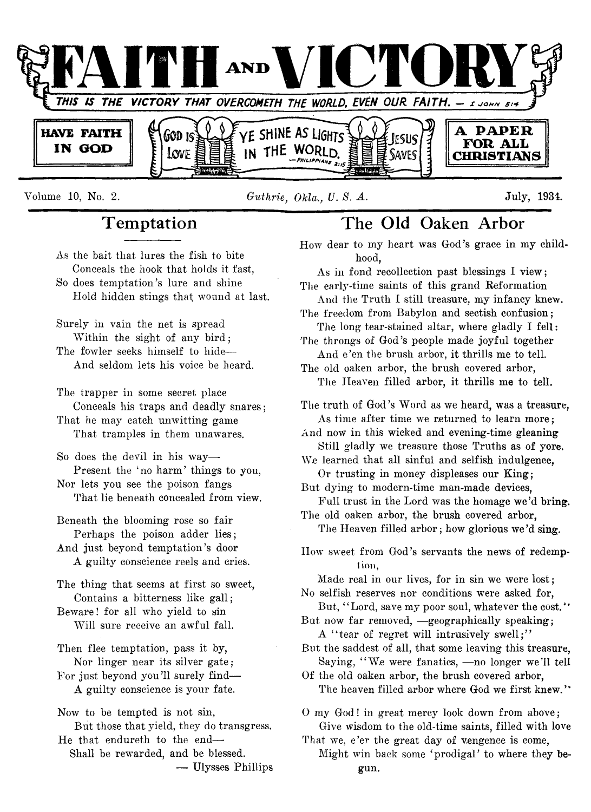

Volume 10, No. 2. *Guthrie, Okla-., V. 8. A.* July, 1934.

## **T emptation**

As the bait that lures the fish to bite Conceals the hook that holds it fast, So does temptation's lure and shine Hold hidden stings that wound at last.

Surely in vain the net is spread Within the sight of any bird; The fowler seeks himself to hide— And seldom lets his voice be heard.

The trapper in some secret place Conceals his traps and deadly snares; That he may catch unwitting game

That tramples in them unawares.

So does the devil in his way— Present the 'no harm' things to you, Nor lets you see the poison fangs

That lie beneath concealed from view.

Beneath the blooming rose so fair Perhaps the poison adder lies;

And just beyond temptation's door A guilty conscience reels and cries.

The thing that seems at first so sweet, Contains a bitterness like gall;

Beware! for all who yield to sin Will sure receive an awful fall.

Then flee temptation, pass it by, Nor linger near its silver gate;

For just beyond you'll surely find— A guilty conscience is your fate.

Now to be tempted is not sin, But those that yield, they do transgress. He that endureth to the end—

Shall be rewarded, and be blessed. — Ulysses Phillips

## **The Old Oaken Arbor**

How dear to my heart was God's grace in my childhood,

As in fond recollection past blessings I view; The early-time saints of this grand Reformation

And the Truth I still treasure, my infancy knew. The freedom from Babylon and sectish confusion;

The long tear-stained altar, where gladly I fell: The throngs of God's people made joyful together

And e'en the brush arbor, it thrills me to tell. The old oaken arbor, the brush covered arbor,

The Heaven filled arbor, it thrills me to tell.

The truth of God's Word as we heard, was a treasure, As time after time we returned to learn more;

And now in this wicked and evening-time gleaning Still gladly we treasure those Truths as of yore.

We learned that all sinful and selfish indulgence, Or trusting in money displeases our King;

But dying to modern-time man-made devices, Full trust in the Lord was the homage we'd bring. The old oaken arbor, the brush covered arbor,

The Heaven filled arbor; how glorious we'd sing.

How sweet from God's servants the news of redemption.

Made real in our lives, for in sin we were lost; No selfish reserves nor conditions were asked for,

But, "Lord, save my poor soul, whatever the cost." But now far removed, —geographically speaking;

A "tear of regret will intrusively swell;"

But the saddest of all, that some leaving this treasure, Saying, "We were fanatics, -no longer we'll tell

Of the old oaken arbor, the brush covered arbor, The heaven filled arbor where God we first knew."

O my God! in great mercy look down from above; Give wisdom to the old-time saints, filled with love

That we, e'er the great day of vengence is come, Might win back some 'prodigal' to where they begun.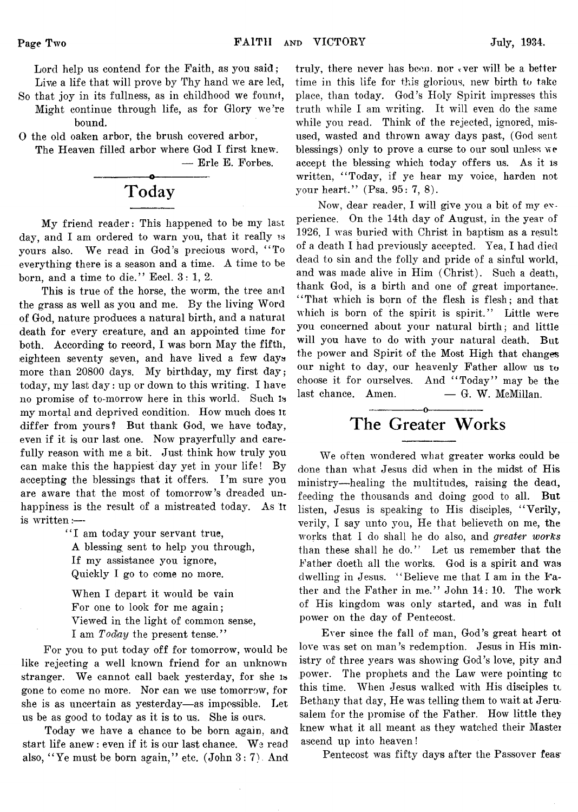Lord help us contend for the Faith, as you said; Live a life that will prove by Thy hand we are led,

- So that joy in its fullness, as in childhood we found, Might continue through life, as for Glory we're bound.
- 0 the old oaken arbor, the brush covered arbor,

The Heaven filled arbor where God I first knew. — Brie E. Forbes.



My friend reader: This happened to be my last day, and I am ordered to warn you, that it really is yours also. We read in God's precious word, " To everything there is a season and a time. A time to be born, and a time to die." Eccl.  $3:1, 2$ .

This is true of the horse, the worm, the tree and the grass as well as you and me. By the living Word of God, nature produces a natural birth, and a natural death for every creature, and an appointed time for both. According to record, I was born May the fifth, .eighteen seventy seven, and have lived a few days more than 20800 days. My birthday, my first day; today, my last day: up or down to this writing. I have no promise of to-morrow here in this world. Such Is my mortal and deprived condition. How much does It differ from yours? But thank God, we have today, even if it is our last one. Now prayerfully and carefully reason with me a bit. Just think how truly you can make this the happiest day yet in your life! By accepting the blessings that it offers. I'm sure you are aware that the most of tomorrow's dreaded unhappiness is the result of a mistreated today. As It is written:—

> "I am today your servant true, A blessing sent to help you through, If my assistance you ignore, Quickly I go to come no more.

When I depart it would be vain For one to look for me again; Viewed in the light of common sense, I am *Today* the present tense."

For you to put today off for tomorrow, would be like rejecting a well known friend for an unknown stranger. We cannot call back yesterday, for she is gone to come no more. Nor can we use tomorrow, for she is as uncertain as yesterday— as impossible. Let us be as good to today as it is to us. She is ours.

Today we have a chance to be born again, and start life anew: even if it is our last chance. We read also, "Ye must be born again," etc.  $(John 3: 7)$ . And

truly, there never has been, nor ever will be a better time in this life for this glorious, new birth to take place, than today. God's Holy Spirit impresses this truth while I am writing. It will even do the same while you read. Think of the rejected, ignored, misused, wasted and thrown away days past, (God sent blessings) only to prove a curse to our soul unless we accept the blessing which today offers us. As it is written, "Today, if ye hear my voice, harden not your heart." (Psa. 95: 7, 8).

Now, dear reader, I will give, you a bit of my experience. On the 14th day of August, in the year of 1926, I was buried with Christ in baptism as a result of a death I had previously accepted. Yea, I had died dead to sin and the folly and pride of a sinful world, and was made alive in Him (Christ). Such a death, thank God, is a birth and one of great importance. "That which is born of the flesh is flesh; and that which is born of the spirit is spirit." Little were you concerned about your natural birth; and little will you have to do with your natural death. But the power and Spirit of the Most High that changes our night to day, our heavenly Father allow us to choose it for ourselves. And "Today" may be the  $last chance.$  Amen.  $— G. W. MeMillan.$ 

## The Greater Works

We often wondered what greater works could be done than what Jesus did when in the midst of His ministry— healing the multitudes, raising the dead, feeding the thousands and doing good to all. But listen, Jesus is speaking to His disciples, " Verily, verily, I say unto you, He that believeth on me, the works that I do shall he do also, and *greater works* than these shall he do." Let us remember that the Father doeth all the works. God is a spirit and was dwelling in Jesus. " Believe me that I am in the Father and the Father in me." John 14: 10. The work of His kingdom was only started, and was in full power on the day of Pentecost.

Ever since the fall of man, God's great heart ot love was set on man's redemption. Jesus in His ministry of three years was showing God's love, pity and power. The prophets and the Law were pointing to this time. When Jesus walked with His disciples tc Bethany that day, He was telling them to wait at Jerusalem for the promise of the Father. How little they knew what it all meant as they watched their Mastei ascend up into heaven!

Pentecost was fifty days after the Passover feas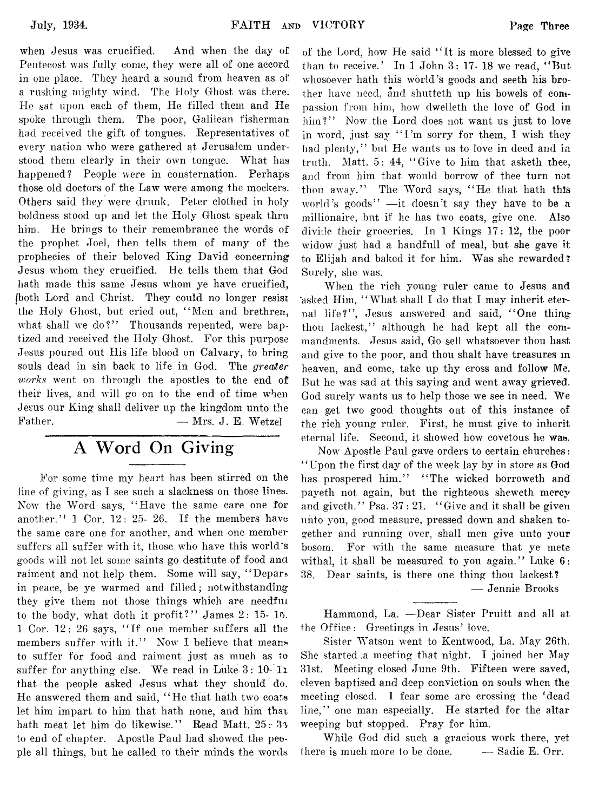when Jesus was crucified. And when the day of Pentecost was fully come, they were all of one accord in one place. They heard a sound from heaven as of a rushing mighty wind. The Holy Ghost was there. He sat upon each of them, He filled them and He spoke through them. The poor, Galilean fisherman had received the gift of tongues. Representatives of every nation who were gathered at Jerusalem understood them clearly in their own tongue. What has happened? People were in consternation. Perhaps those old doctors of the Law were among the mockers. Others said they were drunk. Peter clothed in holy boldness stood up and let the Holy Ghost speak thru him. He brings to their remembrance the words of the prophet Joel, then tells them of many of the prophecies of their beloved King David concerning Jesus whom they crucified. He tells them that God hath made this same Jesus whom ye have crucified, (both Lord and Christ. They could no longer resist the Holy Ghost, but cried out, " Men and brethren, what shall we do?" Thousands repented, were baptized and received the Holy Ghost. For this purpose Jesus poured out His life blood on Calvary, to bring souls dead in sin back to life in God. The *greater works* went on through the apostles to the end of their lives, and will go on to the end of time when Jesus our King shall deliver up the kingdom unto the Father. — Mrs. J. E. Wetzel

## **A Word On Giving**

For some time my heart has been stirred on the line of giving, as I see such a slackness on those lines. Now the Word says, " Have the same care one for another." 1 Cor. 12: 25- 26. If the members have the same care one for another, and when one member suffers all suffer with it, those who have this world's goods will not let some saints go destitute of food ana raiment and not help them. Some will say, " Depart in peace, be ye warmed and filled; notwithstanding they give them not those things which are needful to the body, what doth it profit?" James 2: 15- 15. 1 Cor. 12: 26 says, " If one member suffers all the members suffer with it." Now I believe that means to suffer for food and raiment just as much as to suffer for anything else. We read in Luke 3: 10- *l i* that the people asked Jesus what they should do. He answered them and said, " He that hath two coats let him impart to him that hath none, and him that hath meat let him do likewise." Read Matt. 25: 33 to end of chapter. Apostle Paul had showed the people all things, but he called to their minds the words

of the Lord, how He said " It is more blessed to give than to receive.' In 1 John 3: 17- 18 we read, "But whosoever hath this world's goods and seeth his brother have need, and shutteth up his bowels of compassion from him, how dwelleth the love of God in him?" Now the Lord does not want us just to love in word, just say "I'm sorry for them, I wish they had plenty," but He wants us to love in deed and in truth. Matt. 5: 44, " Give to him that asketh thee, and from him that would borrow of thee turn not thou away." The Word says, " He that hath this world's goods" — it doesn't say they have to be *n* millionaire, but if he has two coats, give one. Also divide their groceries. In 1 Kings 17: 12, the poor widow just had a handfull of meal, but she gave it to Elijah and baked it for him. Was she rewarded? Surely, she was.

When the rich young ruler came to Jesus and asked Him, " What shall I do that I may inherit eternal life?", Jesus answered and said, "One thing thou lackest," although he had kept all the commandments. Jesus said, Go sell whatsoever thou hast and give to the poor, and thou shalt have treasures m heaven, and come, take up thy cross and follow Me. But he was sad at this saying and went away grieved. God surely wants us to help those we see in need. We can get two good thoughts out of this instance of the rich young ruler. First, he must give to inherit eternal life. Second, it showed how covetous he was.

Now Apostle Paul gave orders to certain churches: " Upon the first day of the week lay by in store as God has prospered him." "The wicked borroweth and payeth not again, but the righteous sheweth mercy and giveth." Psa. 37: 21. "Give and it shall be given unto you, good measure, pressed down and shaken together and running over, shall men give unto your bosom. For with the same measure that ye mete withal, it shall be measured to you again." Luke  $6:$ 38. Dear saints, is there one thing thou lackest?

— Jennie Brooks

Hammond, La. — Dear Sister Pruitt and all at the Office: Greetings in Jesus' love.

Sister Watson went to Kentwood, La. May 26th. She started .a meeting that night. I joined her May 31st. Meeting closed June 9th. Fifteen were saved, eleven baptised and deep conviction on souls when the meeting closed. I fear some are crossing the 'dead line," one man especially. He started for the altar weeping but stopped. Pray for him.

While God did such a gracious work there, yet there is much more to be done. — Sadie E. Orr.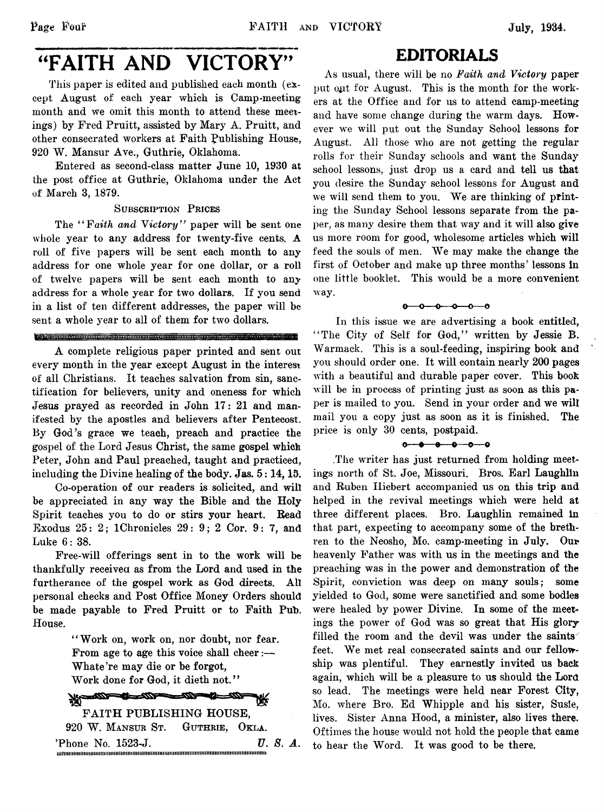# "FAITH AND VICTORY"

This paper is edited and published each month (except August of each year which is Camp-meeting month and we omit this month to attend these meetings) by Fred Pruitt, assisted by Mary A. Pruitt, and other consecrated workers at Faith publishing House, 920 W. Mansur Ave., Guthrie, Oklahoma.

Entered as second-class matter June 10, 1930 at the post office at Guthrie, Oklahoma under the Act of March 3, 1879.

#### SUBSCRIPTION PRICES

The *" Faith and Victory"* paper will be sent one whole year to any address for twenty-five cents. A roll of five papers will be sent each month to any address for one whole year for one dollar, or a roll of twelve papers will be sent each month to any address for a whole year for two dollars. If you send in a list of ten different addresses, the paper will be sent a whole year to all of them for two dollars.

#### <u> Dichemann (Arangueira) in an Carlin (Arangueira) ann an Arangueira an Carlin (Arangueira) ann an Ara</u>

A complete religious paper printed and sent out every month in the year except August in the interest of all Christians. It teaches salvation from sin, sanctification for believers, unity and oneness for which Jesus prayed as recorded in John 17: 21 and manifested by the apostles and believers after Pentecost. By God's grace we teach, preach and practice the gospel of the Lord Jesus Christ, the same gospel which Peter, John and Paul preached, taught and practiced, including the Divine healing of the body. Jas. 5:14,15.

Co-operation of our readers is solicited, and will be appreciated in any way the Bible and the Holy Spirit teaches you to do or stirs your heart. Bead Exodus 25: 2; IChronicles 29: 9; 2 Cor. 9: 7, and Luke 6: 38.

Free-will offerings sent in to the work will be thankfully received as from the Lord and used in the furtherance of the gospel work as God directs. All personal checks and Post Office Money Orders should be made payable to Fred Pruitt or to Faith Pub. House.

> " Work on, work on, nor doubt, nor fear. From age to age this voice shall cheer:— Whate 're may die or be forgot, Work done for God, it dieth not."

#### 100-100 -222-

FAITH PUBLISHING HOUSE, 920 W. Mansur St. Guthrie, Okla. 'Phone No. 1523-J. *U. 8. A.* HiniMimHmnmijmmmtmimimiimimmiiiiHiimiiHimniiiMmiiimiiiimimimmmimitimii

## EDITORIALS

As usual, there will be no *Faith and Victory* paper put out for August. This is the month for the workers at the Office and for us to attend camp-meeting and have some change during the warm days. However we will put out the Sunday School lessons for August. All those who are not getting the regular rolls for their Sunday schools and want the Sunday school lessons, just drop us a card and tell us that you desire the Sunday school lessons for August and we will send them to you. We are thinking of printing- the Sunday School lessons separate from the paper, as many desire them that way and it will also give us more room for good, wholesome articles which will feed the souls of men. We may make the change the first of October and make up three months' lessons in one little booklet. This would be a more convenient way.

 $0 - 0 - 0 - 0 - 0$ 

In this issue we are advertising a book entitled, "The City of Self for God," written by Jessie B. Warmack. This is a soul-feeding, inspiring book and you should order one. It will contain nearly 200 pages with a beautiful and durable paper cover. This book will be in process of printing just as soon as this paper is mailed to you. Send in your order and we will mail you a copy just as soon as it is finished. The price is only 30 cents, postpaid.

.The writer has just returned from holding meetings north of St. Joe, Missouri. Bros. Earl Laughlin and Ruben Iliebert accompanied us on this trip and helped in the revival meetings which were held at three different places. Bro. Laughlin remained in that part, expecting to accompany some of the brethren to the Neosho, Mo. camp-meeting in July. Our heavenly Father was with us in the meetings and the preaching was in the power and demonstration of the Spirit, conviction was deep on many souls; some yielded to God, some were sanctified and some bodies were healed by power Divine. In some of the meetings the power of God was so great that His glory filled the room and the devil was under the saints feet. We met real consecrated saints and our fellowship was plentiful. They earnestly invited us back again, which will be a pleasure to us should the Lora so lead. The meetings were held near Forest City, Mo. where Bro. Ed Whipple and his sister, Susie, lives. Sister Anna Hood, a minister, also lives there. Oftimes the house would not hold the people that came to hear the Word. It was good to be there.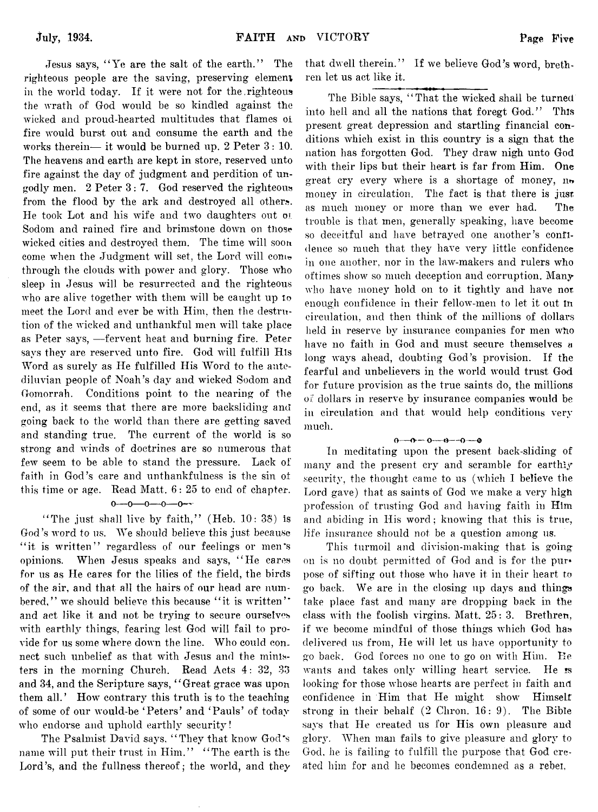Jesus says, " Ye are the salt of the earth." The righteous people are the saving, preserving element, in the world today. If it were not for the righteous the wrath of God would be so kindled against the wicked and proud-hearted multitudes that flames oi fire would burst out and consume the earth and the works therein— it would be burned up. 2 Peter 3 : 10. The heavens and earth are kept in store, reserved unto fire against the day of judgment and perdition of ungodly men. 2 Peter 3 :7 . God reserved the righteous from the flood by the ark and destroyed all others. He took Lot and his wife and two daughters out oi Sodom and rained fire and brimstone down on those wicked cities and destroyed them. The time will soon come when the Judgment will set, the Lord will come through the clouds with power and glory. Those who sleep in Jesus will be resurrected and the righteous who are alive together with them will be caught up to meet the Lord and ever be with Him, then the destrution of the wicked and unthankful men will take place as Peter says, — fervent heat and burning fire. Peter says they are reserved unto fire. God will fulfill His Word as surely as He fulfilled His Word to the antediluvian people of Noah's day and wicked Sodom and Gomorrah. Conditions point to the nearing of the end, as it seems that there are more backsliding and going back to the world than there are getting saved and standing true. The current of the world is so strong and winds of doctrines are so numerous that few seem to be able to stand the pressure. Lack of faith in God's care and unthankfulness is the sin ot this time or age. Read Matt. 6: 25 to end of chapter.

#### $0 - 0 - 0 - 0 - 0$

"The just shall live by faith," (Heb. 10: 38) is God's word to us. We should believe this just because "it is written" regardless of our feelings or men's opinions. When Jesus speaks and says, " He cares for us as He cares for the lilies of the field, the birds of the air, and that all the hairs of our head are numbered," we should believe this because "it is written" and act like it and not be trying to secure ourselves with earthly things, fearing lest God will fail to provide for us some where down the line. Who could connect such unbelief as that with Jesus and the ministers in the morning Church. Read Acts *4 :* 32, 33 and 34, and the Scripture says, "Great grace was upon them all.' How contrary this truth is to the teaching of some of our would-be ' Peters' and ' Pauls' of today who endorse and uphold earthly security!

The Psalmist David says, " They that know God's name will put their trust in Him." "The earth is the Lord's, and the fullness thereof; the world, and they that dwell therein." If we believe God's word, brethren let us act like it.

The Bible says, "That the wicked shall be turned into hell and all the nations that foregt God." This present great depression and startling financial conditions which exist in this country is a sign that the nation has forgotten God. They draw nigh unto God with their lips but their heart is far from Him. One great cry every where is a shortage of money, no money in circulation. The fact is that there is jusr as much money or more than we ever had. The trouble is that men, generally speaking, have become so deceitful and have betrayed one another's confidence so much that they have very little confidence in one another, nor in the law-makers and rulers who oftimes show so much deception and corruption. Many who have money hold on to it tightly and have not enough confidence in their fellow-men to let it out In circulation, and then think of the millions of dollars held in reserve by insurance companies for men who have no faith in God and must secure themselves a long ways ahead, doubting God's provision. If the fearful and unbelievers in the world would trust God for future provision as the true saints do, the millions oi: dollars in reserve by insurance companies would be in circulation and that would help conditions very much.

#### <sup>O</sup>**----O----**O**-----O—**H )**----***<sup>O</sup>*

In meditating upon the present back-sliding of many and the present cry and scramble for earthly security, the thought came to us (which I believe the Lord gave) that as saints of God we make a very high profession of trusting God and having faith in Him and abiding in His word; knowing that this is true, life insurance should not be a question among us.

This turmoil and division-making that is going on is no doubt permitted of God and is for the purpose of sifting out those who have it in their heart to go back. We are in the closing up days and things take place fast and many are dropping back in the class with the foolish virgins. Matt. 25: 3. Brethren, if we become mindful of those things which God has delivered us from, He will let us have opportunity to go back. God forces no one to go on with Him. Re wants and takes only willing heart service. He is looking for those whose hearts are perfect in faith and confidence in Him that He might show Himself strong in their behalf  $(2 \text{ Chron. } 16: 9)$ . The Bible says that He created us for His own pleasure and glory. When man fails to give pleasure and glory to God, he is failing to fulfill the purpose that God created him for and he becomes condemned as a rebet,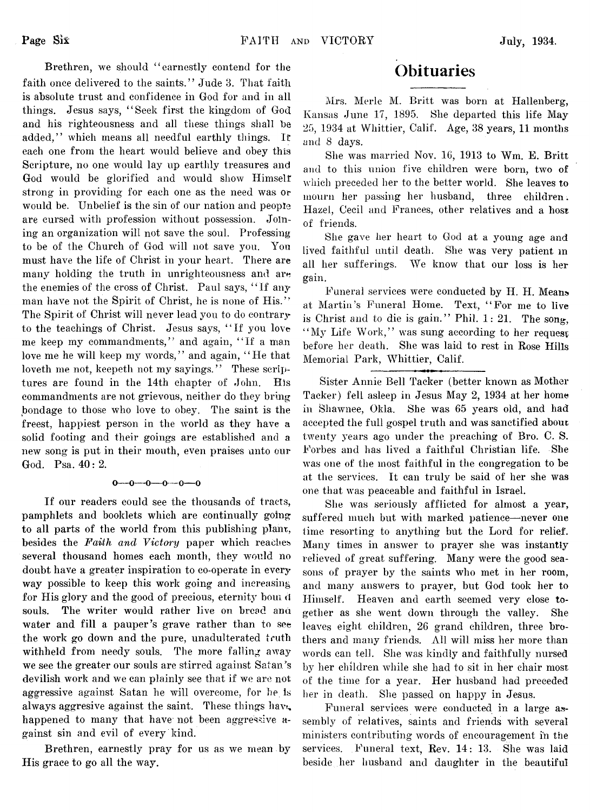Brethren, we should "earnestly contend for the faith once delivered to the saints." Jude 3. That faith is absolute trust and confidence in God for and in all things. Jesus says, " Seek first the kingdom of God and his righteousness and all these things shall be added." which means all needful earthly things. If each one from the heart would believe and obey this Scripture, no one would lay up earthly treasures and God would be glorified and would show Himself strong in providing for each one as the need was or would be. Unbelief is the sin of our nation and people are cursed with profession without possession. Joining an organization will not save the soul. Professing to be of the Church of God will not save you. You must have the life of Christ in your heart. There are many holding the truth in unrighteousness and are the enemies of the cross of Christ. Paul says, "If any man have not the Spirit of Christ, he is none of His." The Spirit of Christ will never lead you to do contrary to the teachings of Christ. Jesus says, " If you love me keep my commandments," and again, " If a man love me he will keep my words," and again, "He that loveth me not, keepeth not my savings." These scriptures are found in the 14th chapter of John. His commandments are not grievous, neither do they bring bondage to those who love to obey. The saint is the freest, happiest person in the world as they have a solid footing and their goings are established and a new song is put in their mouth, even praises unto our God. Psa. 40: 2.

#### $0-0-0-0-0-0$

If our readers could see the thousands of tracts, pamphlets and booklets which are continually going to all parts of the world from this publishing plant, besides the *Faith and Victory* paper which reaches several thousand homes each month, they would no doubt have a greater inspiration to co-operate in every way possible to keep this work going and increasing for His glory and the good of precious, eternity bom d souls. The writer would rather live on bread ana water and fill a pauper's grave rather than to see the work go down and the pure, unadulterated truth withheld from needy souls. The more falling away we see the greater our souls are stirred against Satan's devilish work and we can plainly see that if we are not aggressive against Satan he will overcome, for he is always aggresive against the saint. These things have happened to many that have not been aggressive against sin and evil of every kind.

Brethren, earnestly pray for us as we mean by His grace to go all the way.

## **Obituaries**

Mrs. Merle M. Britt was born at Hallenberg, Kansas June 17, 1895. She departed this life May 25, 1934 at Whittier, Calif. Age, 38 years, 11 months and 8 days.

She was married Nov. 16, 1913 to Wm. E. Britt and to this union five children were born, two of which preceded her to the better world. She leaves to mourn her passing her husband, three children. Hazel, Cecil and Frances, other relatives and a host of friends.

She gave her heart to God at a young age and lived faithful until death. She was very patient m all her sufferings. We know that our loss is her gain.

Funeral services were conducted by H. H. Means at Martin's Funeral Home. Text, " For me to live is Christ and to die is gain." Phil.  $1: 21$ . The song, "My Life Work," was sung according to her request before her death. She was laid to rest in Rose Hills Memorial Park, Whittier, Calif.

Sister Annie Bell Tacker (better known as Mother Tacker) fell asleep in Jesus May 2, 1934 at her home in Shawnee, Okla. She was 65 years old, and had accepted the full gospel truth and was sanctified about twenty years ago under the preaching of Bro. C. S. Forbes and has lived a faithful Christian life. She was one of the most faithful in the congregation to be at the services. It can truly be said of her she was one that was peaceable and faithful in Israel.

She was seriously afflicted for almost a year, suffered much but with marked patience—never one time resorting to anything but the Lord for relief. Many times in answer to prayer she was instantly relieved of great suffering. Many were the good seasons of prayer by the saints who met in her room, and many answers to prayer, but God took her to Himself. Heaven and earth seemed very close together as she went down through the valley. She leaves eight children, 26 grand children, three brothers and many friends. All will miss her more than words can tell. She was kindly and faithfully nursed by her children while she had to sit in her chair most of the time for a year. Her husband had preceded her in death. She passed on happy in Jesus.

Funeral services were conducted in a large assembly of relatives, saints and friends with several ministers contributing words of encouragement in the services. Funeral text, Rev. 14: 13. She was laid beside her husband and daughter in the beautiful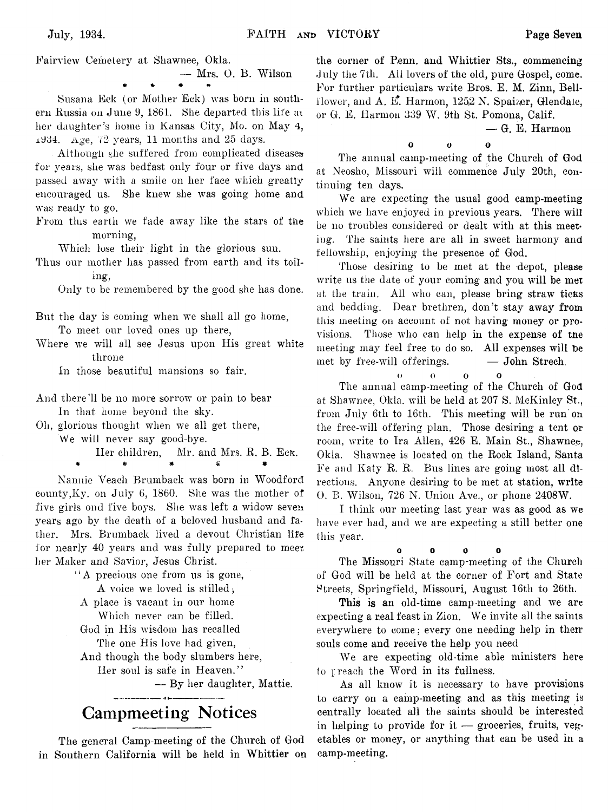Fairview Cemetery at Shawnee, Okla.

— Mrs. 0. B. Wilson # %• \* \*

Susana Eck (or Mother Eck) was born in southern Russia on June 9, 1861. She departed this life at her daughter's home in Kansas City, Mo. on May 4,  $±1934.$  Age, 72 years, 11 months and 25 days.

Although she suffered from complicated diseases for years, she was bedfast only four or five days and passed away with a smile on her face which greatly encouraged us. She knew she was going home and was ready to go.

From this earth we fade away like the stars of the morning,

Which lose their light in the glorious sun.

Thus our mother has passed from earth and its toiling,

Only to be remembered by the good she has done.

- But the day is coming when we shall all go home, To meet our loved ones up there,
- Where we will all see Jesus upon His great white throne

In those beautiful mansions so fair.

And there'll be no more sorrow or pain to bear In that home beyond the sky.

Oil, glorious thought when we all get there,

We will never say good-bye.

Her children, Mr. and Mrs. R. B. Eck. # # # « #

Nannie Veacli Brumback was born in Woodford county,Ky. on July 6, 1860. She was the mother of five girls ond five boys. She was left a widow seven years ago by the death of a beloved husband and father. Mrs. Brumback lived a devout Christian life for nearly 40 years and was fully prepared to meer her Maker and Savior, Jesus Christ.

' ' A precious one from us is gone, A voice we loved is stilled,

A place is vacant in our home

Which never can be filled.

God in His wisdom has recalled The one His love had given,

And though the body slumbers here,

Her soul is safe in Heaven."

— By her daughter, Mattie.

## **Gampmeeting Notices**

The general Camp-meeting of the Church of God in Southern California will be held in Whittier on

the corner of Penn. and Whittier Sts., commencing July the 7th. All lovers of the old, pure Gospel, come. For further particulars write Bros. E. M. Zinn, Bellflower, and A. E. Harmon,  $1252$  N. Spaizer, Glendate, or G. E. Harmon 839 W. 9th St. Pomona, Calif.

— G. E. Harmon

*0 0 0* The annual camp-meeting of the Church of God at Neosho, Missouri will commence July 20th, continuing ten days.

We are expecting the usual good camp-meeting which we have enjoyed in previous years. There will be no troubles considered or dealt with at this meetiug. The saints here are all in sweet harmony and fellowship, enjoying the presence of God.

Those desiring to be met at the depot, please write us the date of your coming and you will be met at the train. All who can, please bring straw ticks and bedding. Dear brethren, don't stay away from this meeting on account of not having money or provisions. Those who can help in the expense of tne meeting may feel free to do so. All expenses will be met by free-will offerings.  $\qquad -$  John Strech.

O o o o

The annual camp-meeting of the Church of God at Shawnee, Okla. will be held at 207 S. McKinley St., from July 6th to 16th. This meeting will be run on the free-will offering plan. Those desiring a tent or room, write to Ira Allen, 426 E. Main St., Shawnee, Okla. Shawnee is located on the Rock Island, Santa Fe and Katy R. R. Bus lines are going most all directions. Anyone desiring to be met at station, write 0. B. Wilson, 726 N. Union Ave., or phone 2408W.

I think our meeting last year was as good as we have ever had, and we are expecting a still better one this year.

0 0 0 0

The Missouri State camp-meeting of the Church of God will be held at the corner of Fort and State Streets, Springfield, Missouri, August 16th to 26th.

This is an old-time camp-meeting and we are expecting a real feast in Zion. We invite all the saints everywhere to come; every one needing help in their souls come and receive the help you need

We are expecting old-time able ministers here 1o preach the Word in its fullness.

As all know it is necessary to have provisions to carry on a camp-meeting and as this meeting is centrally located all the saints should be interested in helping to provide for it  $-$  groceries, fruits, vegetables or money, or anything that can be used in a camp-meeting.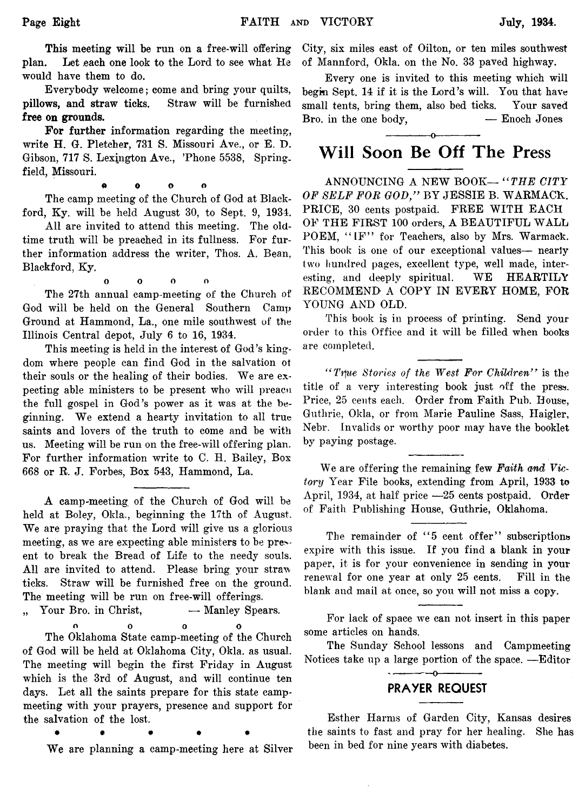This meeting will be run on a free-will offering plan. Let each one look to the Lord to see what He Let each one look to the Lord to see what He would have them to do.

Everybody welcome; come and bring your quilts, **pillows, and straw ticks.** Straw will be furnished **free on grounds.**

**For further** information regarding the meeting, write H. G. Pletcher, 731 S. Missouri Ave., or E. D. Gibson, 717 S. Lexington Ave., 'Phone 5538, Spring. field, Missouri.

<\* o o o

The camp meeting of the Church of God at Blackford, Ky. will be held August 30, to Sept. 9, 1934.

All are invited to attend this meeting. The oldtime truth will be preached in its fullness. For further information address the writer, Thos. A. Bean, Blackford, Ky.

o o o o

The 27th annual camp-meeting of the Church of God will be held on the General Southern Camp Ground at Hammond, La., one mile southwest of the Illinois Central depot, July 6 to 16, 1934.

This meeting is held in the interest of God's kingdom where people can find God in the salvation ot their souls or the healing of their bodies. We are expecting able ministers to be present who will preacn the full gospel in God's power as it was at the beginning. We extend a hearty invitation to all true saints and lovers of the truth to come and be with us. Meeting will be run on the free-will offering plan. For further information write to C. H. Bailey, Box 668 or R. J. Forbes, Box 543, Hammond, La.

A camp-meeting of the Church of God will be held at Boley, Okla., beginning the 17th of August. We are praying that the Lord will give us a glorious meeting, as we are expecting able ministers to be present to break the Bread of Life to the needy souls. All are invited to attend. Please bring your straw ticks. Straw will be furnished free on the ground. The meeting will be run on free-will offerings.

", Your Bro. in Christ, - Manley Spears.

o o o o

The Oklahoma State camp-meeting of the Church of God will be held at Oklahoma City, Okla. as usual. The meeting will begin the first Friday in August which is the 3rd of August, and will continue ten days. Let all the saints prepare for this state campmeeting with your prayers, presence and support for the salvation of the lost.

• • • • •

We are planning a camp-meeting here at Silver

City, six miles east of Oilton, or ten miles southwest of Mannford, Okla. on the No. 33 paved highway.

Every one is invited to this meeting which will begin Sept. 14 if it is the Lord's will. You that have small tents, bring them, also bed ticks. Your saved  $B_{ro.}$  in the one body,  $\qquad \qquad -$  Enoch Jones

## ------------- o------------- **Will Soon Be Off The Press**

ANNOUNCING A NEW BOOK— " *THE CITY OF SELF FOR GOD/'* BY JESSIE B. WARMACK. PRICE, 30 cents postpaid. FREE WITH EACH OF THE FIRST 100 orders, A BEAUTIFUL WALL POEM, "IF" for Teachers, also by Mrs. Warmack. This book is one of our exceptional values— nearly two hundred pages, excellent type, well made, interesting, and deeply spiritual. WE HEARTILY RECOMMEND A COPY IN EVERY HOME, FOR YOUNG AND OLD.

This book is in process of printing. Send your order to this Office and it will be filled when books are completed.

*" Trpe Stories of the West For Children*" is the title of a very interesting book just off the press. Price, 25 cents each. Order from Faith Pub. House, Guthrie, Okla, or from Marie Pauline Sass, Haigler, Nebr. Invalids or worthy poor may have the booklet by paying postage.

We are offering the remaining few *Faith and Victory* Year File books, extending from April, 1933 to April, 1934, at half price — 25 cents postpaid. Order of Faith Publishing House, Guthrie, Oklahoma.

The remainder of "5 cent offer" subscriptions expire with this issue. If you find a blank in your paper, it is for your convenience in sending in your renewal for one year at only 25 cents. Fill in the blank and mail at once, so you will not miss a copy.

For lack of space we can not insert in this paper some articles on hands.

The Sunday School lessons and Campmeeting Notices take up a large portion of the space. — Editor

 $- - -0$ 

## **PRAYER REQUEST**

Esther Harms of Garden City, Kansas desires the saints to fast and pray for her healing. She has been in bed for nine years with diabetes.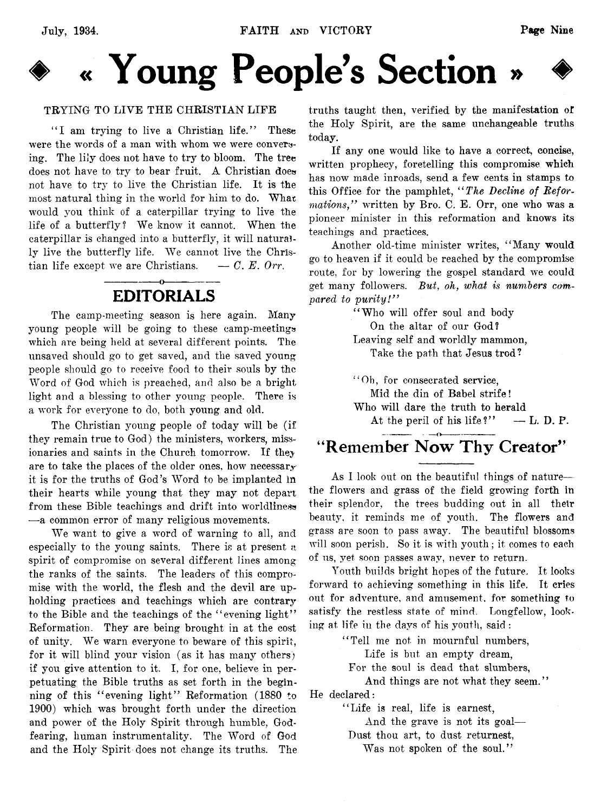

**♦ « Young People's Section » ♦**

#### TRYING TO LIVE THE CHRISTIAN LIFE

"I am trying to live a Christian life." These were the words of a man with whom we were conversing. The lily does not have to try to bloom. The tree does not have to try to bear fruit. A Christian does not have to try to live the Christian life. It is the most natural thing in the world for him to do. What would you think of a caterpillar trying to live the life of a butterfly? We know it cannot. When the caterpillar is changed into a butterfly, it will naturally live the butterfly life. We cannot live the Christian life except we are Christians.  $- C. E.$  Orr.

## EDITORIALS

The camp-meeting season is here again. Many young people will be going to these camp-meetings which are being held at several different points. The unsaved should go to get saved, and the saved young people should go to receive food to their souls by the Word of God which is preached, and also be a bright light and a blessing to other young people. There is a work for everyone to do, both young and old.

The Christian young people of today will be (if they remain true to God) the ministers, workers, missionaries and saints in the Church tomorrow. If *they* are to take the places of the older ones, how necessary it is for the truths of God's Word to be implanted in their hearts while young that they may not depart from these Bible teachings and drift into worldliness — a common error of many religious movements.

We want to give a word of warning to all, and especially to the young saints. There is at present *n* spirit of compromise on several different lines among the ranks of the saints. The leaders of this compromise with the world, the flesh and the devil are upholding practices and teachings which are contrary to the Bible and the teachings of the " evening light" Reformation. They are being brought in at the cost of unity. We warn everyone to beware of this spirit, for it will blind your vision (as it has many others) if you give attention to it. I, for one, believe in perpetuating the Bible truths as set forth in the beginning of this " evening light" Reformation (1880 to 1900) which was brought forth under the direction and power of the Holy Spirit through humble, Godfearing, human instrumentality. The Word of God and the Holy Spirit does not change its truths. The truths taught then, verified by the manifestation of the Holy Spirit, are the same unchangeable truths today.

If any one would like to have a correct, concise, written prophecy, foretelling this compromise which has now made inroads, send a few cents in stamps to this Office for the pamphlet, " *The Decline of Reformations,"* written by Bro. C. E. Orr, one who was a pioneer minister in this reformation and knows its teachings and practices.

Another old-time minister writes, " Many would go to heaven if it could be reached by the compromise route, for by lowering the gospel standard we could get many followers. *But, oh, what is numbers compared to purity!"*

" Who will offer soul and body On the altar of our God? Leaving self and worldly mammon, Take the path that Jesus trod?

" Ob, for consecrated service, Mid the din of Babel strife! Who will dare the truth to herald At the peril of his life?"  $-$  L. D. P.

## "Remember Now Thy Creator"

As I look out on the beautiful things of nature the flowers and grass of the field growing forth in their splendor, the trees budding out in all their beauty, it reminds me of youth. The flowers and grass are soon to pass away. The beautiful blossoms will soon perish. So it is with youth; it comes to each of us, yet soon passes away, never to return.

Youth builds bright hopes of the future. It looks forward to achieving something in this life. It cries out for adventure, and amusement, for something to satisfy the restless state of mind. Longfellow, looking at life in the days of his youth, said :

" Tell me not in mournful numbers,

Life is but an empty dream,

For the soul is dead that slumbers,

And things are not what they seem." He declared:

" Life is real, life is earnest,

And the grave is not its goal—

Dust thou art, to dust returnest,

Was not spoken of the soul."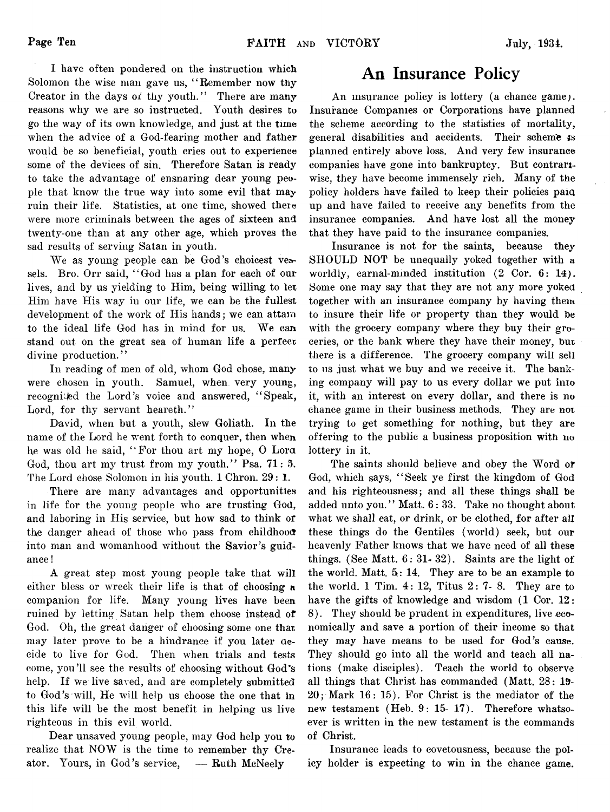I have often pondered on the instruction which Solomon the wise man gave us, "Remember now thy Creator in the days of thy youth." There are many reasons why we are so instructed. Youth desires to go the way of its own knowledge, and just at the time when the advice of a God-fearing mother and father would be so beneficial, youth cries out to experience some of the devices of sin. Therefore Satan is ready to take the advantage of ensnaring dear young people that know the true way into some evil that may ruin their life. Statistics, at one time, showed there were more criminals between the ages of sixteen and twenty-one than at any other age, which proves the sad results of serving Satan in youth.

We as young people can be God's choicest vessels. Bro. Orr said, "God has a plan for each of our lives, and by us yielding to Him, being willing to let Him have His way in our life, we can be the fullest development of the work of His hands; we can attain to the ideal life God has in mind for us. We can stand out on the great sea of human life a perfect divine production."

In reading of men of old, whom God chose, many were chosen in youth. Samuel, when very young, recognited the Lord's voice and answered, "Speak, Lord, for thy servant heareth."

David, when but a youth, slew Goliath. In the name of the Lord he went forth to conquer, then when he was old he said, " For thou art my hope, 0 Lora God, thou art my trust from my youth." Psa. 71: 5. The Lord chose Solomon in his youth. 1 Chron. 29: 1.

There are many advantages and opportunities in life for the young people who are trusting God, and laboring in His service, but how sad to think or the danger ahead of those who pass from childhood into man and womanhood without the Savior's guidance !

A great step most young people take that will either bless or wreck their life is that of choosing a companion for life. Many young lives have been ruined by letting Satan help them choose instead of God. Oh, the great danger of choosing some one that may later prove to be a hindrance if you later decide to live for God. Then when trials and tests come, you'll see the results of choosing without God's help. If we live saved, and are completely submitted to God's will, He will help us choose the one that in this life will be the most benefit in helping us live righteous in this evil world.

Dear unsaved young people, may God help you to realize that NOW is the time to remember thy Creator. Yours, in God's service, — Ruth McNeely

## **An Insurance Policy**

An insurance policy is lottery (a chance game). Insurance Companies or Corporations have planned the scheme according to the statistics of mortality, general disabilities and accidents. Their scheme **4**s planned entirely above loss. And very few insurance companies have gone into bankruptcy. But contrariwise, they have become immensely rich. Many of the policy holders have failed to keep their policies paid up and have failed to receive any benefits from the insurance companies. And have lost all the money that they have paid to the insurance companies.

Insurance is not for the saints, because they SHOULD NOT be unequally yoked together with a worldly, carnal-minded institution (2 Cor. 6: 14). Some one may say that they are not any more yoked together with an insurance company by having them to insure their life or property than they would be with the grocery company where they buy their groceries, or the bank where they have their money, bur there is a difference. The grocery company will sell to ns just what we buy and we receive it. The banking company will pay to us every dollar we put into it, with an interest on every dollar, and there is no chance game in their business methods. They are not trying to get something for nothing, but they are offering to the public a business proposition with no lottery in it.

The saints should believe and obey the Word or God, which says, " Seek ye first the kingdom of God and his righteousness; and all these things shall be added unto you." Matt. 6:33. Take no thought about what we shall eat, or drink, or be clothed, for after all these things do the Gentiles (world) seek, but our heavenly Father knows that we have need of all these things. (See Matt.  $6: 31-32$ ). Saints are the light of the world. Matt.  $5: 14$ . They are to be an example to the world. 1 Tim.  $4: 12$ , Titus  $2: 7-8$ . They are to have the gifts of knowledge and wisdom (1 Cor. 12: 8). They should be prudent in expenditures, live economically and save a portion of their income so that they may have means to be used for God's cause. They should go into all the world and teach all nations (make disciples). Teach the world to observe all things that Christ has commanded (Matt. 28: 19- 20; Mark 16: 15). For Christ is the mediator of the new testament (Heb. 9: 15- 17). Therefore whatsoever is written in the new testament is the commands of Christ.

Insurance leads to covetousness, because the policy holder is expecting to win in the chance game.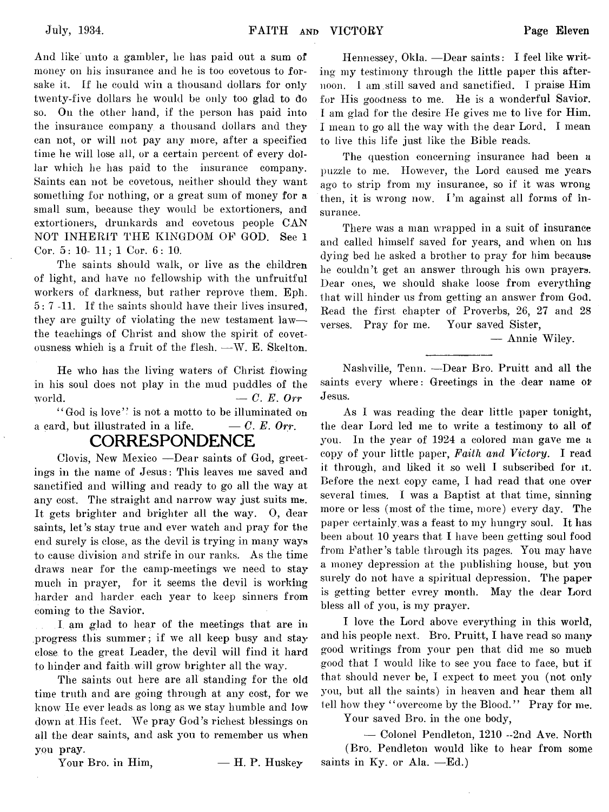And like' unto a gambler, lie has paid out a sum of money on his insurance and he is too covetous to forsake it. If he could win a thousand dollars for only twenty-five dollars he would be only too glad to do so. On the other hand, if the person has paid into the insurance company a thousand dollars and they can not, or will not pay any more, after a specified time he will lose all, or a certain percent of every dollar which he has paid to the insurance company. Saints can not be covetous, neither should they want something for nothing, or a great sum of money for a small sum, because they would be extortioners, and extortioners, drunkards and covetous people CAN NOT INHERIT THE KINGDOM OF GOD. See 1 Cor. 5: 10- 11; 1 Cor. 6: 10.

The saints should walk, or live as the children of light, and have no fellowship with the unfruitful workers of darkness, but rather reprove them. Eph. 5: 7 -11. If the saints should have their lives insured, they are guilty of violating the new testament law the teachings of Christ and show the spirit of covetousness which is a fruit of the flesh. — W. E. Skelton.

He who has the living waters of Christ flowing in his soul does not play in the mud puddles of the world.  $-C. E. Orr$ 

"God is love" is not a motto to be illuminated on a card, but illustrated in a life.  $- C. E.$  Orr.

## **CORRESPONDENCE**

Clovis, New Mexico — Dear saints of God, greetings in the name of Jesus: This leaves me saved and sanctified and willing and ready to go all the way at any cost. The straight and narrow way just suits me. It gets brighter and brighter all the way. 0, dear saints, let's stay true and ever watch and pray for the end surely is close, as the devil is trying in many ways to cause division and strife in our ranks. As the time draws near for the camp-meetings we need to stay much in prayer, for it seems the devil is working harder and harder each year to keep sinners from coming to the Savior.

I am glad to hear of the meetings that are in progress this summer; if we all keep busy and stay close to the great Leader, the devil will find it hard to hinder and faith.will grow brighter all the way.

The saints out here are all standing for the old time truth and are going through at any cost, for we know He ever leads, as long as we stay humble and low down at His feet. We pray God's richest blessings on all the dear saints, and ask you to remember us when you pray.

Your Bro. in Him,  $- H$ . P. Huskey

Hennessey, Okla. — Dear saints: I feel like writing my testimony through the little paper this afternoon. I am still saved and sanctified. I praise Him for His goodness to me. He is a wonderful Savior. I am glad for the desire He gives me to live for Him. I mean to go all the way with the dear Lord. I mean to live this life just like the Bible reads.

The question concerning insurance had been a puzzle to me. However, the Lord caused me years ago to strip from my insurance, so if it was wrong then, it is wrong now. I'm against all forms of insurance.

There was a man wrapped in a suit of insurance and called himself saved for years, and when on his dying bed he asked a brother to pray for him because he couldn't get an answer through his own prayers. Dear ones, we should shake loose from everything that will hinder us from getting an answer from God. Read the first chapter of Proverbs, 26, 27 and 28 verses. Pray for me. Your saved Sister,

— Annie Wiley.

Nashville, Tenn. —Dear Bro. Pruitt and all the saints every where: Greetings in the dear name of Jesus.

As I was reading the dear little paper tonight, the dear Lord led me to write a testimony to all of you. In the year of 1924 a colored man gave me a copy of your little paper, *Faiih and Victory.* I read it through, and liked it so well I subscribed for it. Before the next copy came, I had read that one over several times. I was a Baptist at that time, sinning more or less (most of the time, more) every day. The paper certainly, was a feast to my hungry soul. It has been about 10 years that I have been getting soul food from Father's table through its pages. You may have a money depression at the publishing house, but you surely do not have a spiritual depression. The paper is getting better evrey month. May the dear Lord bless all of you, is my prayer.

I love the Lord above everything in this world, and his people next. Bro. Pruitt, I have read so many good writings from your pen that did me so much good that I would like to see you face to face, but if that should never be, I expect to meet you (not only you, but all the saints) in heaven and hear them all tell how they "overcome by the Blood." Pray for me.

Your saved Bro. in the one body,

— Colonel Pendleton, 1210 -2nd Ave. North (Bro. Pendleton would like to hear from some saints in Ky. or Ala.  $-Ed.$ )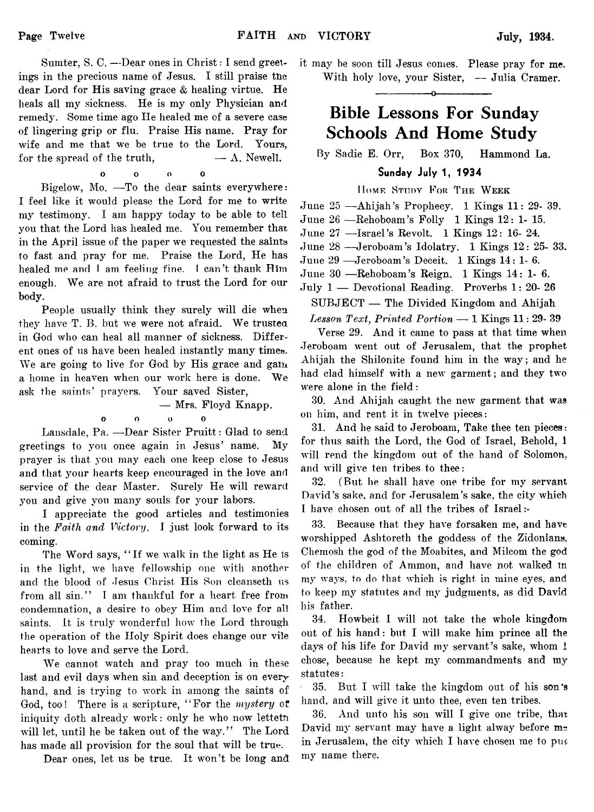Sumter, S. C. —Dear ones in Christ: I send greetings in the precious name of Jesus. I still praise the dear Lord for His saving grace & healing virtue. He heals all my sickness. He is my only Physician and remedy. Some time ago He healed me of a severe case of lingering grip or flu. Praise His name. Pray for wife and me that we be true to the Lord. Yours, for the spread of the truth,  $-\mathbf{A}$ . Newell.

o o o 0 Bigelow, Mo. -To the dear saints everywhere: I feel like it would please the Lord for me to write my testimony. I am happy today to be able to tell you that the Lord has healed me. You remember that in the April issue of the paper we requested the saints to fast and pray for me. Praise the Lord, He has healed me and l am feeling fine. I can't thank Him enough. We are not afraid to trust the Lord for our body.

People usually think they surely will die when they have T. B. but we were not afraid. We trusted in God who can heal all manner of sickness. Different ones of us have been healed instantly many times. We are going to live for God by His grace and gam a home in heaven when our work here is done. We ask the saints' prayers. Your saved Sister,

— Mrs. Floyd Knapp,

#### o o o o

Lansdale, Pa. — Dear Sister Pruitt: Glad to send greetings to you once again in Jesus' name. My prayer is that you may each one keep close to Jesus and that your hearts keep encouraged in the love and service of the dear Master. Surely He will reward you and give you many souls for your labors.

I appreciate the good articles and testimonies in the *Faith and Victory.* I just look forward to its coming.

The Word says, " If we walk in the light as He is in the light, we have fellowship one with another and the blood of Jesus Christ His Son cleanseth us from all sin." I am thankful for a heart free from condemnation, a desire to obey Him and love for all saints. It is truly wonderful how the Lord through the operation of the Holy Spirit does change our vile hearts to love and serve the Lord.

We cannot watch and pray too much in these last and evil days when sin and deception is on every hand, and is trying to work in among the saints of God, too! There is a scripture, "For the *mystery* of iniquity doth already work: only he who now lettetri will let, until he be taken out of the way." The Lord has made all provision for the soul that will be true.

Dear ones, let us be true. It won't be long and

it may be soon till Jesus comes. Please pray for me. With holy love, your Sister, - Julia Cramer.

## **Bible Lessons For Sunday Schools And Home Study**

---------------- o-----------------

By Sadie E. Orr, Box 370, Hammond La.

## Sunday July 1, 1934

## Home Study For The Week

June 25 — Ahijah's Prophecy. 1 Kings 11: 29- 39.

June 26 —Rehoboam's Folly 1 Kings 12: 1- 15.

June 27 — Israel's Revolt. 1 Kings 12: 16- 24.

June 28 — Jeroboam's Idolatry. 1 Kings 12: 25- 33.

June 29 — Jeroboam's Deceit. 1 Kings 14: 1- 6.

June 30 — Rehoboam's Reign. 1 Kings 14: 1- 6.

July 1 — Devotional Reading. Proverbs 1: 20- 26

SUBJECT — The Divided Kingdom and Ahijah

*Lesson Text, Printed Portion* — 1 Kings 11: 29- 39

Verse 29. And it came to pass at that time when Jeroboam went out of Jerusalem, that the prophet Ahijah the Shilonite found him in the way; and he had clad himself with a new garment; and they two were alone in the field:

30. And Ahijah caught the new garment that was on him, and rent it in twelve pieces:

31. And he said to Jeroboam, Take thee ten pieces: for thus saith the Lord, the God of Israel, Behold, I will rend the kingdom out of the hand of Solomon, and will give ten tribes to thee:

32. (But he shall have one tribe for my servant David's sake, and for Jerusalem's sake, the city which I have chosen out of all the tribes of Israel :-

33. Because that they have forsaken me, and have worshipped Ashtoreth the goddess of the Zidonians, Chemosh the god of the Moabites, and Milcom the god of the children of Ammon, and have not walked m my ways, to do that which is right in mine eyes, and to keep my statutes and my judgments, as did David his father.

34. Howbeit I will not take the whole kingdom out of his hand: but I will make him prince all the days of his life for David my servant's sake, whom 1 chose, because he kept my commandments and my statutes:

35. But I will take the kingdom out of his son's hand, and will give it unto thee, even ten tribes.

36. And unto his son will I give one tribe, that David my servant may have a light alway before me in Jerusalem, the city which I have chosen me to pur, my name there.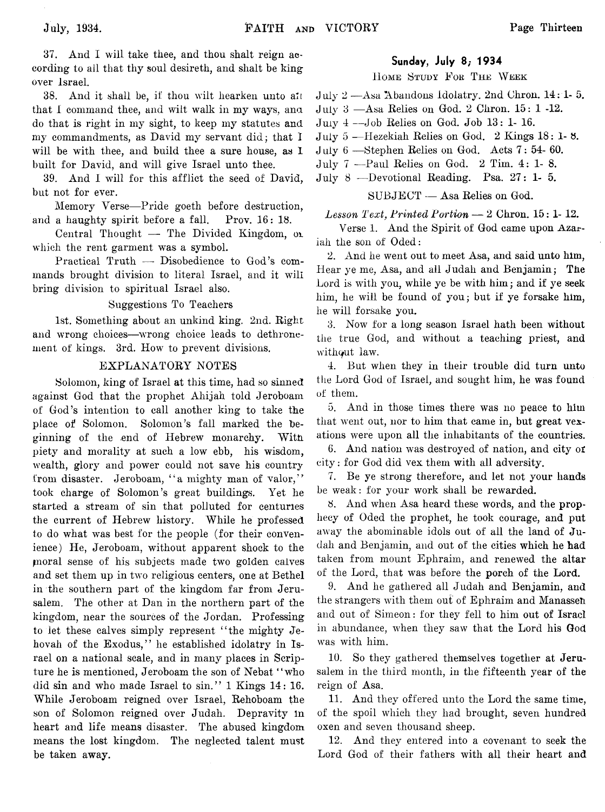37. And I will take thee, and thou shalt reign according to ail that thy soul desireth, and shalt be king over Israel.

38. And it shall be, if thou wilt hearken unto all that I command thee, and wilt walk in my ways, ana do that is right in my sight, to keep my statutes and my commandments, as David my servant did; that I will be with thee, and build thee a sure house, as I built for David, and will give Israel unto thee.

39. And I will for this afflict the seed of David, but not for ever.

Memory Verse— Pride goeth before destruction, and a haughty spirit before a fall. Prov. 16: 18.

Central Thought — The Divided Kingdom, ox which the rent garment was a symbol.

Practical Truth — Disobedience to God's commands brought division to literal Israel, and it will bring division to spiritual Israel also.

#### Suggestions To Teachers

1st. Something about an unkind king. 2nd. Right and wrong choices— wrong choice leads to dethronement of kings. 3rd. How to prevent divisions.

#### EXPLANATORY NOTES

Solomon, king of Israel at this time, had so sinned against God that the prophet Ahijah told Jeroboam of God's intention to call another king to take the place of Solomon. Solomon's fall marked the beginning of the end of Hebrew monarchy. With piety and morality at such a low ebb, his wisdom, wealth, glory and power could not save his country from disaster. Jeroboam, "a mighty man of valor," took charge of Solomon's great buildings. Yet he started a stream of sin that polluted for centuries the current of Hebrew history. While he professed to do what was best for the people (for their convenience) He, Jeroboam, without apparent shock to the pnoral sense of his subjects made two golden calves and set them up in two religious centers, one at Bethel in the southern part of the kingdom far from Jerusalem. The other at Dan in the northern part of the kingdom, near the sources of the Jordan. Professing to let these calves simply represent " the mighty Jehovah of the Exodus," he established idolatry in Israel on a national scale, and in many places in Scripture he is mentioned, Jeroboam the son of Nebat " who did sin and who made Israel to sin." 1 Kings 14: 16. While Jeroboam reigned over Israel, Rehoboam the son of Solomon reigned over Judah. Depravity in heart and life means disaster. The abused kingdom means the lost kingdom. The neglected talent must be taken away.

#### Sunday, July 8; 1934

HOME STUDY FOR THE WEEK

July 2 — Asa Abandons Idolatry. 2nd Chron. 14: 1- 5.

July 3 —Asa Relies on God. 2 Chron. 15: 1 -12.

July 4 — Job Relies on God. Job 13: 1- 16.

July 5 — Hezekiah Relies on God. 2 Kings 18: 1- 8.

- J uly 6 Stephen Relies on God. Acts 7: 54- 60.
- July 7 —Paul Relies on God. 2 Tim. 4:1-8.
- July 8 ---Devotional Reading. Psa. 27: 1- 5.

SUBJECT — Asa Relies on God.

*Lesson Text, Printed Portion* — 2 Chron. 15: 1- 12.

Verse 1. And the Spirit of God came upon Azariah the son of Oded:

2. And he went out to meet Asa, and said unto him, Hear ye me, Asa, and all Judah and Benjamin; The Lord is with you, while ye be with him; and if ye seek him, he will be found of you; but if ye forsake him, he will forsake you.

3. Now for a long season Israel hath been without the true God, and without a teaching priest, and without law.

4. But when they in their trouble did turn unto the Lord God of Israel, and sought him, he was found of them.

5. And in those times there was no peace to him that went out, nor to him that came in, but great vexations were upon all the inhabitants of the countries.

6. And nation was destroyed of nation, and city of city: for God did vex them with all adversity.

7. Be ye strong therefore, and let not your hands be weak: for your work shall be rewarded.

8. And when Asa heard these words, and the prophecy of Oded the prophet, he took courage, and put away the abominable idols out of all the land of Judah and Benjamin, and out of the cities which he had taken from mount Ephraim, and renewed the altar of the Lord, that was before the porch of the Lord.

9. And he gathered all Judah and Benjamin, and the strangers with them out of Ephraim and Manassen and out of Simeon: for they fell to him out of Israel in abundance, when they saw that the Lord his God was with him.

10. So they gathered themselves together at Jerusalem in the third month, in the fifteenth year of the reign of Asa.

11. And they offered unto the Lord the same time, of the spoil which they had brought, seven hundred oxen and seven thousand sheep.

12. And they entered into a covenant to seek the Lord God of their fathers with all their heart and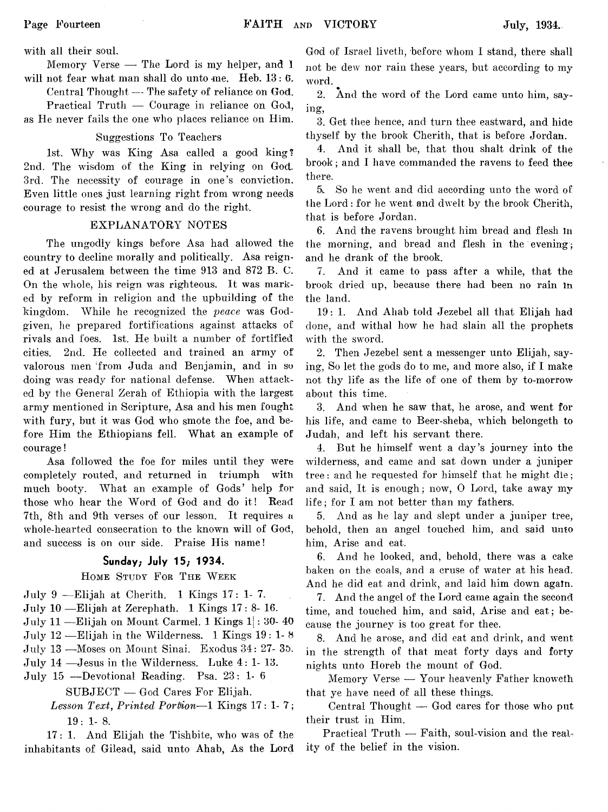with all their soul.

Memory Verse — The Lord is my helper, and 1 will not fear what man shall do unto me. Heb. 13: 6.

Central Thought — The safety of reliance on God.

Practical Truth — Courage in reliance on God, as He never fails the one who places reliance on Him.

### Suggestions To Teachers

1st. Why was King Asa called a good king? 2nd. The wisdom of the King in relying on God. 3rd. The necessity of courage in one's conviction. Even little ones just learning right from wrong needs courage to resist the wrong and do the right.

#### EXPLANATORY NOTES

The ungodly kings before Asa had allowed the country to decline morally and politically. Asa reigned at Jerusalem between the time 913 and 872 B. C. On the whole, his reign was righteous. It was marked by reform in religion and the upbuilding of the kingdom. While he recognized the *peace* was Godgiven, he prepared fortifications against attacks of rivals and foes. 1st. He built a number of fortified cities. 2nd. He collected and trained an army of valorous men 'from Juda and Benjamin, and in so doing was ready for national defense. When attacked by the General Zerah of Ethiopia with the largest army mentioned in Scripture, Asa and his men fought with fury, but it was God who smote the foe, and before Him the Ethiopians fell. What an example of courage!

Asa followed the foe for miles until they were completely routed, and returned in triumph with much booty. What an example of Gods' help for those who hear the Word of God and do it! Read 7th, 8th and 9th verses of our lesson. It requires a whole-hearted consecration to the known will of God, and success is on our side. Praise His name!

### Sunday; July 15; 1934.

### HOME STUDY FOR THE WEEK

July 9 — Elijah at Cherith. 1 Kings 17: 1- 7.

July 10 — Elijah at Zerephath. 1 Kings 17: 8- 16.

July 11 — Elijah on Mount Carmel. 1 Kings  $1$  : 30- 40

July 12 — Elijah in the Wilderness. 1 Kings  $19:1-8$ 

July 13 — Moses on Mount Sinai. Exodus 34: 27- 3D.

July 14 —Jesus in the Wilderness. Luke 4: 1- 13.

July 15 — Devotional Reading. Psa. 23: 1 -6

SUBJECT — God Cares For Elijah.

Lesson Text, Printed Portion-1 Kings 17: 1-7; 19: 1- 8.

17: 1. And Elijah the Tishbite, who was of the inhabitants of Gilead, said unto Ahab, As the Lord God of Israel liveth, before whom I stand, there shall not be dew nor rain these years, but according to my word.

2. And the word of the Lord came unto him, saying,

3. Get thee hence, and turn thee eastward, and hide thyself by the brook Cherith, that is before Jordan.

4. And it shall be, that thou shalt drink of the brook; and I have commanded the ravens to feed thee there.

5i. So he went and did according unto the word of the Lord: for he went and dwelt by the brook Cherith, that is before Jordan.

6. And the ravens brought him bread and flesh In the morning, and bread and flesh in the evening; and he drank of the brook.

7. And it came to pass after a while, that the brook dried up, because there had been no rain in the land.

19: 1. And Ahab told Jezebel all that Elijah had done, and withal how he had slain all the prophets with the sword.

2. Then Jezebel sent a messenger unto Elijah, saying, So let the gods do to me, and more also, if I make not thy life as the life of one of them by to-morrow about this time.

3. And when he saw that, he arose, and went for his life, and came to Beer-sheba, which belongeth to Judah, and left his servant there.

4. But he himself went a day's journey into the wilderness, and came and sat down under a juniper tree: and he requested for himself that he might die; and said, It is enough; now, 0 Lord, take away my life; for I am not better than my fathers.

5. And as he lay and slept under a juniper tree, behold, then an angel touched him, and said unto him, Arise and eat.

6. And he looked, and, behold, there was a cake baken on the coals, and a cruse of water at his head. And he did eat and drink, and laid him down again.

7. And the angel of the Lord came again the second time, and touched him, and said, Arise and eat; because the journey is too great for thee.

8. And he arose, and did eat and drink, and went in the strength of that meat forty days and forty nights unto Horeb the mount of God.

Memory Verse — Your heavenly Father knoweth that ye have need of all these things.

Central Thought — God cares for those who put their trust in Him.

Practical Truth — Faith, soul-vision and the reality of the belief in the vision.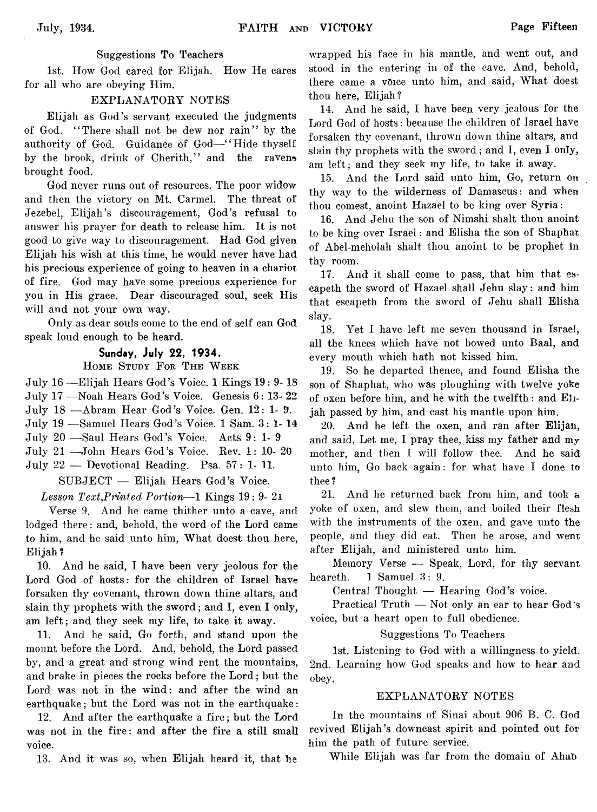### Suggestions To Teachers

1st. How God cared for Elijah. How He cares for all who are obeying Him.

### EXPLANATORY NOTES

Elijah as God's servant executed the judgments of God. " There shall not be dew nor rain" by the authority of God. Guidance of God-"Hide thyself by the brook, drink of Cherith," and the ravens brought food.

God never runs out of resources. The poor widow and then the victory on Mt. Carmel. The threat of Jezebel, Elijah's discouragement, God's refusal to answer his prayer for death to release him. It is not good to give way to discouragement. Had God given Elijah his wish at this time, he would never have had his precious experience of going to heaven in a chariot of fire. God may have some precious experience for you in His grace. Dear discouraged soul, seek His will and not your own way.

Only as dear souls come to the end of self can God speak loud enough to be heard.

## Sunday, July 22, 1934.

### HOME STUDY FOR THE WEEK

July 16 — Elijah Hears God's Voice. 1 Kings 19: 9- IS July 17 — Noah Hears God's Voice. Genesis 6: 13- 22 July 18 — Abram Hear God's Voice. Gen. 12: 1- 9. July 19 — Samuel Hears God's Voice. 1 Sam. 3: 1- 14 July 20 — Saul Hears God's Voice. Acts 9:1-9 July 21 —John Hears God's Voice. Rev. 1: 10- 20

July 22 — Devotional Reading. Psa. 57: 1- 11.

SUBJECT — Elijah Hears God's Voice.

### Lesson Text, Printed Portion—1 Kings 19: 9- 21

Verse 9. And he came thither unto a cave, and lodged there: and, behold, the word of the Lord came to him, and he said unto him, What doest thou here, Elijah ?

10. And he said, I have been very jeolous for the Lord God of hosts: for the children of Israel have forsaken thy covenant, thrown down thine altars, and slain thy prophets with the sword; and I, even I only, am left; and they seek my life, to take it away.

11. And he said, Go forth, and stand upon the mount before the Lord. And, behold, the Lord passed by, and a great and strong wind rent the mountains, and brake in pieces the rocks before the Lord; but the Lord was not in the wind: and after the wind an earthquake; but the Lord was not in the earthquake:

12. And after the earthquake a fire ; but the Lord was not in the fire: and after the fire a still small voice.

13. And it was so, when Elijah heard it, that he

wrapped his face in his mantle, and went out, and stood in the entering in of the cave. And, behold, there came a voice unto him, and said, What doest thou here, Elijah?

14. And he said, I have been very jealous for the Lord God of hosts: because the children of Israel have forsaken thy covenant, thrown down thine altars, and slain thy prophets with the sword; and I, even I only, am left; and they seek my life, to take it away.

15. And the Lord said unto him, Go, return on thy way to the wilderness of Damascus: and when thou comest, anoint Hazael to be king over Syria:

16. And Jehu the son of Nimshi shalt thou anoint to be king over Israel: and Elisha the son of Shaphax of Abel-meholah shalt thou anoint to be prophet in thy room.

17. And it shall come to pass, that him that escapeth the sword of Hazael shall Jehu slay: and him that escapeth from the sword of Jehu shall Elisha slay.

18. Yet I have left me seven thousand in Israel, all the knees which have not bowed unto Baal, and every mouth which hath not kissed him.

19. So he departed thence, and found Elisha the son of Shaphat, who was ploughing with twelve yoke of oxen before him, and he with the twelfth: and Elijah passed by him, and cast his mantle upon him.

20. And he left the oxen, and ran after Elijan, and said, Let me, I pray thee, kiss my father and *my* mother, and then I will follow thee. And he said unto him, Go back again: for what have I done to thee ?

21. And he returned back from him, and took a yoke of oxen, and slew them, and boiled their flesh with the instruments of the oxen, and gave unto the people, and they did eat. Then he arose, and went after Elijah, and ministered unto him.

Memory Verse — Speak, Lord, for thy servant heareth. 1 Samuel 3: 9.

Central Thought — Hearing God's voice.

Practical Truth — Not only an ear to hear God's voice, but a heart open to full obedience.

#### Suggestions To Teachers

1st. Listening to God with a willingness to yield. 2nd. Learning how God speaks and how to hear and obey.

#### EXPLANATORY NOTES

In the mountains of Sinai about 906 B. C. God revived Elijah's downcast spirit and pointed out for him the path of future service.

While Elijah was far from the domain of Ahab